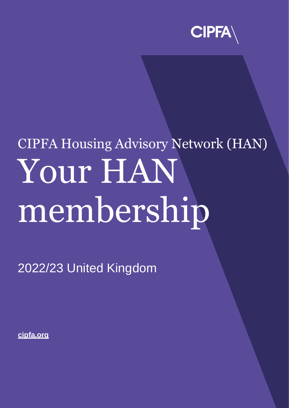

# CIPFA Housing Advisory Network (HAN) Your HAN membership

2022/23 United Kingdom

**[cipfa.org](https://www.cipfa.org/)**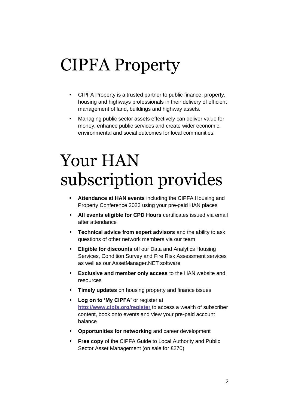### CIPFA Property

- CIPFA Property is a trusted partner to public finance, property, housing and highways professionals in their delivery of efficient management of land, buildings and highway assets.
- Managing public sector assets effectively can deliver value for money, enhance public services and create wider economic, environmental and social outcomes for local communities.

# Your HAN subscription provides

- **EXECTE Attendance at HAN events** including the CIPFA Housing and Property Conference 2023 using your pre-paid HAN places
- **EXTER 15 All events eligible for CPD Hours** certificates issued via email after attendance
- **Technical advice from expert advisors** and the ability to ask questions of other network members via our team
- **Eligible for discounts** off our Data and Analytics Housing Services, Condition Survey and Fire Risk Assessment services as well as our AssetManager.NET software
- **Exclusive and member only access** to the HAN website and resources
- **Timely updates** on housing property and finance issues
- **Log on to 'My CIPFA'** or register at **<http://www.cipfa.org/register>** to access a wealth of subscriber content, book onto events and view your pre-paid account balance
- **Opportunities for networking** and career development
- **Free copy** of the CIPFA Guide to Local Authority and Public Sector Asset Management (on sale for £270)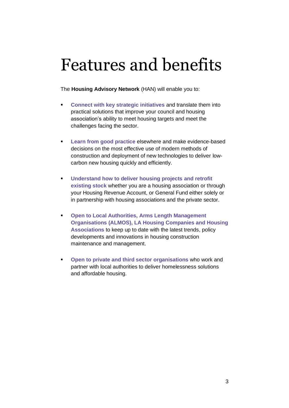# Features and benefits

The **Housing Advisory Network** (HAN) will enable you to:

- **Connect with key strategic initiatives** and translate them into practical solutions that improve your council and housing association's ability to meet housing targets and meet the challenges facing the sector.
- **Example 2018 Learn from good practice** elsewhere and make evidence-based decisions on the most effective use of modern methods of construction and deployment of new technologies to deliver lowcarbon new housing quickly and efficiently.
- **Understand how to deliver housing projects and retrofit existing stock** whether you are a housing association or through your Housing Revenue Account, or General Fund either solely or in partnership with housing associations and the private sector.
- **Open to Local Authorities, Arms Length Management Organisations (ALMOS), LA Housing Companies and Housing Associations** to keep up to date with the latest trends, policy developments and innovations in housing construction maintenance and management.
- **Open to private and third sector organisations** who work and partner with local authorities to deliver homelessness solutions and affordable housing.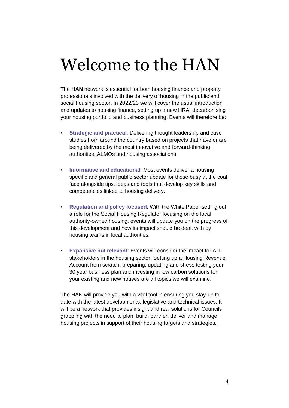# Welcome to the HAN

The **HAN** network is essential for both housing finance and property professionals involved with the delivery of housing in the public and social housing sector. In 2022/23 we will cover the usual introduction and updates to housing finance, setting up a new HRA, decarbonising your housing portfolio and business planning. Events will therefore be:

- **Strategic and practical: Delivering thought leadership and case** studies from around the country based on projects that have or are being delivered by the most innovative and forward-thinking authorities, ALMOs and housing associations.
- **Informative and educational**: Most events deliver a housing specific and general public sector update for those busy at the coal face alongside tips, ideas and tools that develop key skills and competencies linked to housing delivery.
- **Regulation and policy focused**: With the White Paper setting out a role for the Social Housing Regulator focusing on the local authority-owned housing, events will update you on the progress of this development and how its impact should be dealt with by housing teams in local authorities.
- **Expansive but relevant**: Events will consider the impact for ALL stakeholders in the housing sector. Setting up a Housing Revenue Account from scratch, preparing, updating and stress testing your 30 year business plan and investing in low carbon solutions for your existing and new houses are all topics we will examine.

The HAN will provide you with a vital tool in ensuring you stay up to date with the latest developments, legislative and technical issues. It will be a network that provides insight and real solutions for Councils grappling with the need to plan, build, partner, deliver and manage housing projects in support of their housing targets and strategies.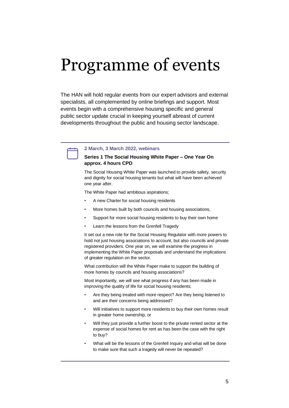### Programme of events

The HAN will hold regular events from our expert advisors and external specialists, all complemented by online briefings and support. Most events begin with a comprehensive housing specific and general public sector update crucial in keeping yourself abreast of current developments throughout the public and housing sector landscape.



#### **2 March, 3 March 2022, webinars**

#### **Series 1 The Social Housing White Paper – One Year On approx. 4 hours CPD**

The Social Housing White Paper was launched to provide safety, security and dignity for social housing tenants but what will have been achieved one year after.

The White Paper had ambitious aspirations;

- A new Charter for social housing residents
- More homes built by both councils and housing associations,
- Support for more social housing residents to buy their own home
- Learn the lessons from the Grenfell Tragedy

It set out a new role for the Social Housing Regulator with more powers to hold not just housing associations to account, but also councils and private registered providers. One year on, we will examine the progress in implementing the White Paper proposals and understand the implications of greater regulation on the sector.

What contribution will the White Paper make to support the building of more homes by councils and housing associations?

Most importantly, we will see what progress if any has been made in improving the quality of life for social housing residents;

- Are they being treated with more respect? Are they being listened to and are their concerns being addressed?
- Will initiatives to support more residents to buy their own homes result in greater home ownership, or
- Will they just provide a further boost to the private rented sector at the expense of social homes for rent as has been the case with the right to buy?
- What will be the lessons of the Grenfell Inquiry and what will be done to make sure that such a tragedy will never be repeated?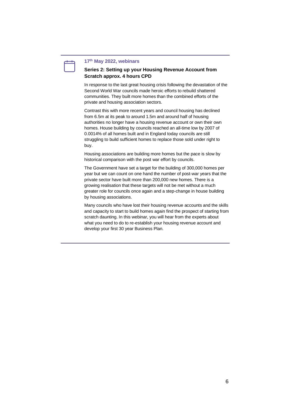#### **17th May 2022, webinars**

#### **Series 2: Setting up your Housing Revenue Account from Scratch approx. 4 hours CPD**

In response to the last great housing crisis following the devastation of the Second World War councils made heroic efforts to rebuild shattered communities. They built more homes than the combined efforts of the private and housing association sectors.

Contrast this with more recent years and council housing has declined from 6.5m at its peak to around 1.5m and around half of housing authorities no longer have a housing revenue account or own their own homes. House building by councils reached an all-time low by 2007 of 0.0014% of all homes built and in England today councils are still struggling to build sufficient homes to replace those sold under right to buy.

Housing associations are building more homes but the pace is slow by historical comparison with the post war effort by councils.

The Government have set a target for the building of 300,000 homes per year but we can count on one hand the number of post-war years that the private sector have built more than 200,000 new homes. There is a growing realisation that these targets will not be met without a much greater role for councils once again and a step-change in house building by housing associations.

Many councils who have lost their housing revenue accounts and the skills and capacity to start to build homes again find the prospect of starting from scratch daunting. In this webinar, you will hear from the experts about what you need to do to re-establish your housing revenue account and develop your first 30 year Business Plan.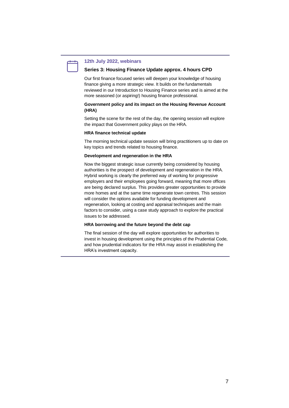

#### **12th July 2022, webinars**

#### **Series 3: Housing Finance Update approx. 4 hours CPD**

Our first finance focused series will deepen your knowledge of housing finance giving a more strategic view. It builds on the fundamentals reviewed in our Introduction to Housing Finance series and is aimed at the more seasoned (or aspiring!) housing finance professional.

#### **Government policy and its impact on the Housing Revenue Account (HRA)**

Setting the scene for the rest of the day, the opening session will explore the impact that Government policy plays on the HRA.

#### **HRA finance technical update**

The morning technical update session will bring practitioners up to date on key topics and trends related to housing finance.

#### **Development and regeneration in the HRA**

Now the biggest strategic issue currently being considered by housing authorities is the prospect of development and regeneration in the HRA. Hybrid working is clearly the preferred way of working for progressive employers and their employees going forward, meaning that more offices are being declared surplus. This provides greater opportunities to provide more homes and at the same time regenerate town centres. This session will consider the options available for funding development and regeneration, looking at costing and appraisal techniques and the main factors to consider, using a case study approach to explore the practical issues to be addressed.

#### **HRA borrowing and the future beyond the debt cap**

The final session of the day will explore opportunities for authorities to invest in housing development using the principles of the Prudential Code, and how prudential indicators for the HRA may assist in establishing the HRA's investment capacity.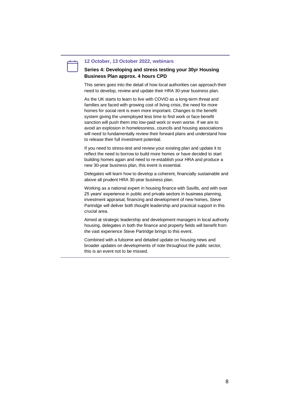#### **12 October, 13 October 2022, webinars**

#### **Series 4: Developing and stress testing your 30yr Housing Business Plan approx. 4 hours CPD**

This series goes into the detail of how local authorities can approach their need to develop, review and update their HRA 30-year business plan.

As the UK starts to learn to live with COVID as a long-term threat and families are faced with growing cost of living crisis, the need for more homes for social rent is even more important. Changes to the benefit system giving the unemployed less time to find work or face benefit sanction will push them into low-paid work or even worse. If we are to avoid an explosion in homelessness, councils and housing associations will need to fundamentally review their forward plans and understand how to release their full investment potential.

If you need to stress-test and review your existing plan and update it to reflect the need to borrow to build more homes or have decided to start building homes again and need to re-establish your HRA and produce a new 30-year business plan, this event is essential.

Delegates will learn how to develop a coherent, financially sustainable and above all prudent HRA 30-year business plan.

Working as a national expert in housing finance with Savills, and with over 25 years' experience in public and private sectors in business planning, investment appraisal, financing and development of new homes, Steve Partridge will deliver both thought leadership and practical support in this crucial area.

Aimed at strategic leadership and development managers in local authority housing, delegates in both the finance and property fields will benefit from the vast experience Steve Partridge brings to this event.

Combined with a fulsome and detailed update on housing news and broader updates on developments of note throughout the public sector, this is an event not to be missed.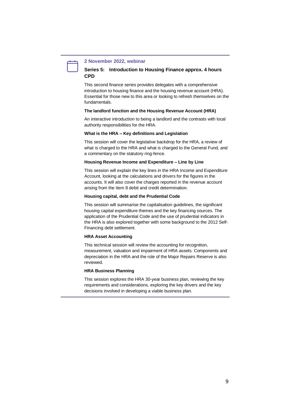

#### **2 November 2022, webinar**

#### **Series 5: Introduction to Housing Finance approx. 4 hours CPD**

This second finance series provides delegates with a comprehensive introduction to housing finance and the housing revenue account (HRA). Essential for those new to this area or looking to refresh themselves on the fundamentals.

#### **The landlord function and the Housing Revenue Account (HRA)**

An interactive introduction to being a landlord and the contrasts with local authority responsibilities for the HRA.

#### **What is the HRA – Key definitions and Legislation**

This session will cover the legislative backdrop for the HRA, a review of what is charged to the HRA and what is charged to the General Fund, and a commentary on the statutory ring-fence.

#### **Housing Revenue Income and Expenditure – Line by Line**

This session will explain the key lines in the HRA Income and Expenditure Account, looking at the calculations and drivers for the figures in the accounts. It will also cover the charges reported in the revenue account arising from the Item 8 debit and credit determination.

#### **Housing capital, debt and the Prudential Code**

This session will summarise the capitalisation guidelines, the significant housing capital expenditure themes and the key financing sources. The application of the Prudential Code and the use of prudential indicators in the HRA is also explored together with some background to the 2012 Self-Financing debt settlement.

#### **HRA Asset Accounting**

This technical session will review the accounting for recognition, measurement, valuation and impairment of HRA assets. Components and depreciation in the HRA and the role of the Major Repairs Reserve is also reviewed.

#### **HRA Business Planning**

This session explores the HRA 30-year business plan, reviewing the key requirements and considerations, exploring the key drivers and the key decisions involved in developing a viable business plan.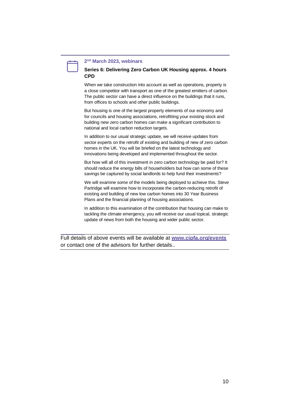#### **2 nd March 2023, webinars**

#### **Series 6: Delivering Zero Carbon UK Housing approx. 4 hours CPD**

When we take construction into account as well as operations, property is a close competitor with transport as one of the greatest emitters of carbon. The public sector can have a direct influence on the buildings that it runs, from offices to schools and other public buildings.

But housing is one of the largest property elements of our economy and for councils and housing associations, retrofitting your existing stock and building new zero carbon homes can make a significant contribution to national and local carbon reduction targets.

In addition to our usual strategic update, we will receive updates from sector experts on the retrofit of existing and building of new of zero carbon homes in the UK. You will be briefed on the latest technology and innovations being developed and implemented throughout the sector.

But how will all of this investment in zero carbon technology be paid for? It should reduce the energy bills of householders but how can some of these savings be captured by social landlords to help fund their investments?

We will examine some of the models being deployed to achieve this. Steve Partridge will examine how to incorporate the carbon-reducing retrofit of existing and building of new low carbon homes into 30 Year Business Plans and the financial planning of housing associations.

In addition to this examination of the contribution that housing can make to tackling the climate emergency, you will receive our usual topical, strategic update of news from both the housing and wider public sector.

Full details of above events will be available at **[www.cipfa.org/events](http://www.cipfa.org/events)** or contact one of the advisors for further details..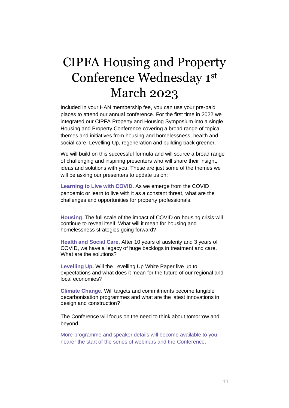### CIPFA Housing and Property Conference Wednesday 1st March 2023

Included in your HAN membership fee, you can use your pre-paid places to attend our annual conference. For the first time in 2022 we integrated our CIPFA Property and Housing Symposium into a single Housing and Property Conference covering a broad range of topical themes and initiatives from housing and homelessness, health and social care, Levelling-Up, regeneration and building back greener.

We will build on this successful formula and will source a broad range of challenging and inspiring presenters who will share their insight, ideas and solutions with you. These are just some of the themes we will be asking our presenters to update us on;

**Learning to Live with COVID.** As we emerge from the COVID pandemic or learn to live with it as a constant threat, what are the challenges and opportunities for property professionals.

**Housing**. The full scale of the impact of COVID on housing crisis will continue to reveal itself. What will it mean for housing and homelessness strategies going forward?

**Health and Social Care.** After 10 years of austerity and 3 years of COVID, we have a legacy of huge backlogs in treatment and care. What are the solutions?

**Levelling Up.** Will the Levelling Up White Paper live up to expectations and what does it mean for the future of our regional and local economies?

**Climate Change.** Will targets and commitments become tangible decarbonisation programmes and what are the latest innovations in design and construction?

The Conference will focus on the need to think about tomorrow and beyond.

More programme and speaker details will become available to you nearer the start of the series of webinars and the Conference.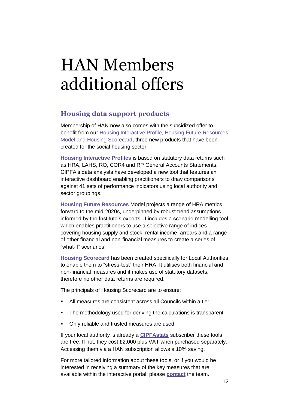# HAN Members additional offers

### **Housing data support products**

Membership of HAN now also comes with the subsidized offer to benefit from our Housing Interactive Profile, Housing Future Resources Model and Housing Scorecard, three new products that have been created for the social housing sector.

**Housing Interactive Profiles** is based on statutory data returns such as HRA, LAHS, RO, COR4 and RP General Accounts Statements. CIPFA's data analysts have developed a new tool that features an interactive dashboard enabling practitioners to draw comparisons against 41 sets of performance indicators using local authority and sector groupings.

**Housing Future Resources** Model projects a range of HRA metrics forward to the mid-2020s, underpinned by robust trend assumptions informed by the Institute's experts. It includes a scenario modelling tool which enables practitioners to use a selective range of indices covering housing supply and stock, rental income, arrears and a range of other financial and non-financial measures to create a series of "what-if" scenarios.

**Housing Scorecard** has been created specifically for Local Authorities to enable them to "stress-test" their HRA. It utilises both financial and non-financial measures and it makes use of statutory datasets, therefore no other data returns are required.

The principals of Housing Scorecard are to ensure:

- All measures are consistent across all Councils within a tier
- The methodology used for deriving the calculations is transparent
- Only reliable and trusted measures are used.

If your local authority is already a **[CIPFAstats](https://www.cipfa.org/services/cipfastats)** subscriber these tools are free. If not, they cost £2,000 plus VAT when purchased separately. Accessing them via a HAN subscription allows a 10% saving.

For more tailored information about these tools, or if you would be interested in receiving a summary of the key measures that are available within the interactive portal, please **[contact](mailto:James.martin@cipfa.org?subject=Housing%20Interactive%20Profile%20Summary%20request)** the team.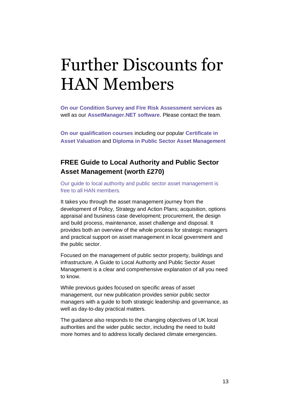# Further Discounts for HAN Members

**On our Condition Survey and Fire Risk Assessment services** as well as our **AssetManager.NET software**. Please contact the team.

**On our qualification courses** including our popular **Certificate in Asset Valuation** and **Diploma in Public Sector Asset Management**

### **FREE Guide to Local Authority and Public Sector Asset Management (worth £270)**

Our guide to local authority and public sector asset management is free to all HAN members.

It takes you through the asset management journey from the development of Policy, Strategy and Action Plans; acquisition, options appraisal and business case development; procurement, the design and build process, maintenance, asset challenge and disposal. It provides both an overview of the whole process for strategic managers and practical support on asset management in local government and the public sector.

Focused on the management of public sector property, buildings and infrastructure, A Guide to Local Authority and Public Sector Asset Management is a clear and comprehensive explanation of all you need to know.

While previous guides focused on specific areas of asset management, our new publication provides senior public sector managers with a guide to both strategic leadership and governance, as well as day-to-day practical matters.

The guidance also responds to the changing objectives of UK local authorities and the wider public sector, including the need to build more homes and to address locally declared climate emergencies.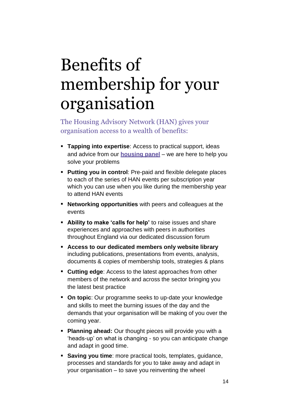# Benefits of membership for your organisation

The Housing Advisory Network (HAN) gives your organisation access to a wealth of benefits:

- **Tapping into expertise**: Access to practical support, ideas and advice from our **[housing panel](https://www.cipfa.org/policy-and-guidance/technical-panels-and-boards/housing-panel)** – we are here to help you solve your problems
- **Putting you in control**: Pre-paid and flexible delegate places to each of the series of HAN events per subscription year which you can use when you like during the membership year to attend HAN events
- **Networking opportunities** with peers and colleagues at the events
- **EXTER** 10 **Ability to make 'calls for help'** to raise issues and share experiences and approaches with peers in authorities throughout England via our dedicated discussion forum
- **Access to our dedicated members only website library** including publications, presentations from events, analysis, documents & copies of membership tools, strategies & plans
- **Cutting edge**: Access to the latest approaches from other members of the network and across the sector bringing you the latest best practice
- **On topic**: Our programme seeks to up-date your knowledge and skills to meet the burning issues of the day and the demands that your organisation will be making of you over the coming year.
- **Planning ahead:** Our thought pieces will provide you with a 'heads-up' on what is changing - so you can anticipate change and adapt in good time.
- **Saving you time**: more practical tools, templates, guidance, processes and standards for you to take away and adapt in your organisation – to save you reinventing the wheel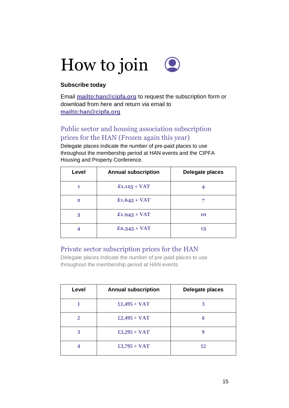

### **Subscribe today**

Email **<mailto:han@cipfa.org>** to request the subscription form or download from here and return via email to **<mailto:han@cipfa.org>**

### Public sector and housing association subscription prices for the HAN (Frozen again this year)

Delegate places indicate the number of pre-paid places to use throughout the membership period at HAN events and the CIPFA Housing and Property Conference.

| Level          | <b>Annual subscription</b> | Delegate places |
|----------------|----------------------------|-----------------|
| 1              | $£1,125 + VAT$             | 4               |
| $\overline{2}$ | $£1,645 + VAT$             |                 |
| 3              | $£1,945 + VAT$             | 10              |
|                | $£2,345 + VAT$             | 13              |

### Private sector subscription prices for the HAN

Delegate places indicate the number of pre-paid places to use throughout the membership period at HAN events

| Level        | <b>Annual subscription</b> | Delegate places |
|--------------|----------------------------|-----------------|
|              | $£1,495 + VAT$             | 3               |
| $\mathbf{2}$ | $£2,495 + VAT$             | 6               |
| 3            | $£3,295 + VAT$             |                 |
| 4            | $£3,795 + VAT$             | 12              |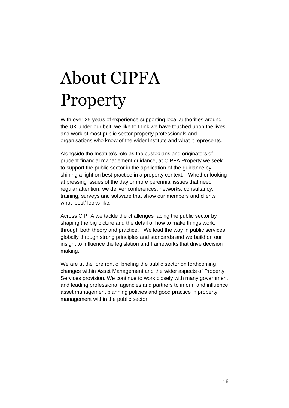# About CIPFA Property

With over 25 years of experience supporting local authorities around the UK under our belt, we like to think we have touched upon the lives and work of most public sector property professionals and organisations who know of the wider Institute and what it represents.

Alongside the Institute's role as the custodians and originators of prudent financial management guidance, at CIPFA Property we seek to support the public sector in the application of the guidance by shining a light on best practice in a property context. Whether looking at pressing issues of the day or more perennial issues that need regular attention, we deliver conferences, networks, consultancy, training, surveys and software that show our members and clients what 'best' looks like.

Across CIPFA we tackle the challenges facing the public sector by shaping the big picture and the detail of how to make things work, through both theory and practice. We lead the way in public services globally through strong principles and standards and we build on our insight to influence the legislation and frameworks that drive decision making.

We are at the forefront of briefing the public sector on forthcoming changes within Asset Management and the wider aspects of Property Services provision. We continue to work closely with many government and leading professional agencies and partners to inform and influence asset management planning policies and good practice in property management within the public sector.